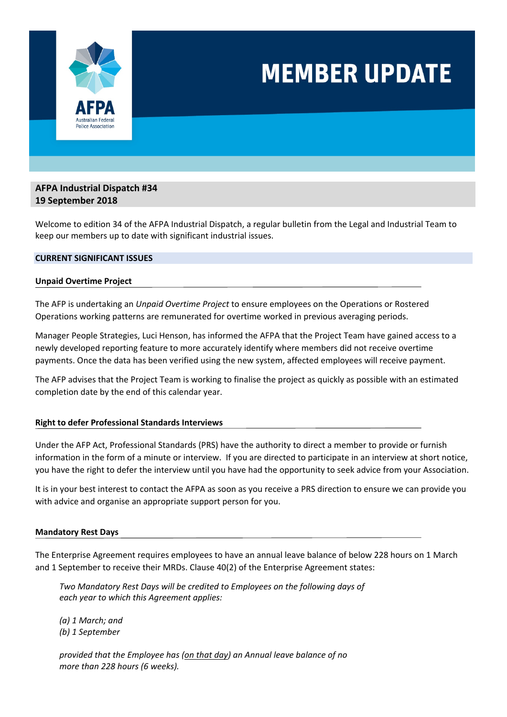

# **MEMBER UPDATE**

# **AFPA Industrial Dispatch #34 19 September 2018**

Welcome to edition 34 of the AFPA Industrial Dispatch, a regular bulletin from the Legal and Industrial Team to keep our members up to date with significant industrial issues.

## **CURRENT SIGNIFICANT ISSUES**

### **Unpaid Overtime Project**

The AFP is undertaking an *Unpaid Overtime Project* to ensure employees on the Operations or Rostered Operations working patterns are remunerated for overtime worked in previous averaging periods.

Manager People Strategies, Luci Henson, has informed the AFPA that the Project Team have gained access to a newly developed reporting feature to more accurately identify where members did not receive overtime payments. Once the data has been verified using the new system, affected employees will receive payment.

The AFP advises that the Project Team is working to finalise the project as quickly as possible with an estimated completion date by the end of this calendar year.

### **Right to defer Professional Standards Interviews**

Under the AFP Act, Professional Standards (PRS) have the authority to direct a member to provide or furnish information in the form of a minute or interview. If you are directed to participate in an interview at short notice, you have the right to defer the interview until you have had the opportunity to seek advice from your Association.

It is in your best interest to contact the AFPA as soon as you receive a PRS direction to ensure we can provide you with advice and organise an appropriate support person for you.

### **Mandatory Rest Days**

The Enterprise Agreement requires employees to have an annual leave balance of below 228 hours on 1 March and 1 September to receive their MRDs. Clause 40(2) of the Enterprise Agreement states:

*Two Mandatory Rest Days will be credited to Employees on the following days of each year to which this Agreement applies:* 

*(a) 1 March; and (b) 1 September* 

*provided that the Employee has (on that day) an Annual leave balance of no more than 228 hours (6 weeks).*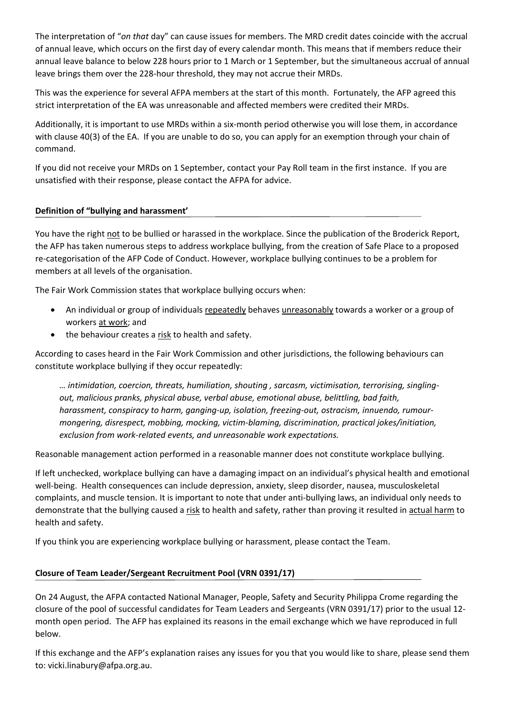The interpretation of "*on that* day" can cause issues for members. The MRD credit dates coincide with the accrual of annual leave, which occurs on the first day of every calendar month. This means that if members reduce their annual leave balance to below 228 hours prior to 1 March or 1 September, but the simultaneous accrual of annual leave brings them over the 228‐hour threshold, they may not accrue their MRDs.

This was the experience for several AFPA members at the start of this month. Fortunately, the AFP agreed this strict interpretation of the EA was unreasonable and affected members were credited their MRDs.

Additionally, it is important to use MRDs within a six‐month period otherwise you will lose them, in accordance with clause 40(3) of the EA. If you are unable to do so, you can apply for an exemption through your chain of command.

If you did not receive your MRDs on 1 September, contact your Pay Roll team in the first instance. If you are unsatisfied with their response, please contact the AFPA for advice.

## **Definition of "bullying and harassment'**

You have the right not to be bullied or harassed in the workplace. Since the publication of the Broderick Report, the AFP has taken numerous steps to address workplace bullying, from the creation of Safe Place to a proposed re-categorisation of the AFP Code of Conduct. However, workplace bullying continues to be a problem for members at all levels of the organisation.

The Fair Work Commission states that workplace bullying occurs when:

- An individual or group of individuals repeatedly behaves unreasonably towards a worker or a group of workers at work; and
- the behaviour creates a risk to health and safety.

According to cases heard in the Fair Work Commission and other jurisdictions, the following behaviours can constitute workplace bullying if they occur repeatedly:

*… intimidation, coercion, threats, humiliation, shouting , sarcasm, victimisation, terrorising, singling‐ out, malicious pranks, physical abuse, verbal abuse, emotional abuse, belittling, bad faith, harassment, conspiracy to harm, ganging‐up, isolation, freezing‐out, ostracism, innuendo, rumour‐ mongering, disrespect, mobbing, mocking, victim‐blaming, discrimination, practical jokes/initiation, exclusion from work‐related events, and unreasonable work expectations.* 

Reasonable management action performed in a reasonable manner does not constitute workplace bullying.

If left unchecked, workplace bullying can have a damaging impact on an individual's physical health and emotional well-being. Health consequences can include depression, anxiety, sleep disorder, nausea, musculoskeletal complaints, and muscle tension. It is important to note that under anti-bullying laws, an individual only needs to demonstrate that the bullying caused a risk to health and safety, rather than proving it resulted in actual harm to health and safety.

If you think you are experiencing workplace bullying or harassment, please contact the Team.

# **Closure of Team Leader/Sergeant Recruitment Pool (VRN 0391/17)**

On 24 August, the AFPA contacted National Manager, People, Safety and Security Philippa Crome regarding the closure of the pool of successful candidates for Team Leaders and Sergeants (VRN 0391/17) prior to the usual 12‐ month open period. The AFP has explained its reasons in the email exchange which we have reproduced in full below.

If this exchange and the AFP's explanation raises any issues for you that you would like to share, please send them to: vicki.linabury@afpa.org.au.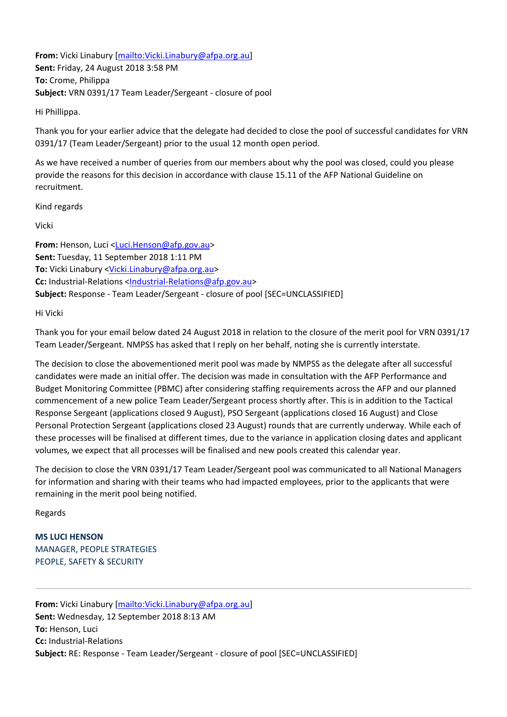**From:** Vicki Linabury [mailto:Vicki.Linabury@afpa.org.au] **Sent:** Friday, 24 August 2018 3:58 PM **To:** Crome, Philippa **Subject:** VRN 0391/17 Team Leader/Sergeant ‐ closure of pool

Hi Phillippa.

Thank you for your earlier advice that the delegate had decided to close the pool of successful candidates for VRN 0391/17 (Team Leader/Sergeant) prior to the usual 12 month open period.

As we have received a number of queries from our members about why the pool was closed, could you please provide the reasons for this decision in accordance with clause 15.11 of the AFP National Guideline on recruitment.

Kind regards

Vicki

From: Henson, Luci <Luci.Henson@afp.gov.au> **Sent:** Tuesday, 11 September 2018 1:11 PM **To:** Vicki Linabury <Vicki.Linabury@afpa.org.au> **Cc:** Industrial‐Relations <Industrial‐Relations@afp.gov.au> **Subject:** Response ‐ Team Leader/Sergeant ‐ closure of pool [SEC=UNCLASSIFIED]

Hi Vicki

Thank you for your email below dated 24 August 2018 in relation to the closure of the merit pool for VRN 0391/17 Team Leader/Sergeant. NMPSS has asked that I reply on her behalf, noting she is currently interstate.

The decision to close the abovementioned merit pool was made by NMPSS as the delegate after all successful candidates were made an initial offer. The decision was made in consultation with the AFP Performance and Budget Monitoring Committee (PBMC) after considering staffing requirements across the AFP and our planned commencement of a new police Team Leader/Sergeant process shortly after. This is in addition to the Tactical Response Sergeant (applications closed 9 August), PSO Sergeant (applications closed 16 August) and Close Personal Protection Sergeant (applications closed 23 August) rounds that are currently underway. While each of these processes will be finalised at different times, due to the variance in application closing dates and applicant volumes, we expect that all processes will be finalised and new pools created this calendar year.

The decision to close the VRN 0391/17 Team Leader/Sergeant pool was communicated to all National Managers for information and sharing with their teams who had impacted employees, prior to the applicants that were remaining in the merit pool being notified.

Regards

**MS LUCI HENSON** MANAGER, PEOPLE STRATEGIES PEOPLE, SAFETY & SECURITY

**From:** Vicki Linabury [mailto:Vicki.Linabury@afpa.org.au] **Sent:** Wednesday, 12 September 2018 8:13 AM **To:** Henson, Luci **Cc:** Industrial‐Relations **Subject:** RE: Response ‐ Team Leader/Sergeant ‐ closure of pool [SEC=UNCLASSIFIED]